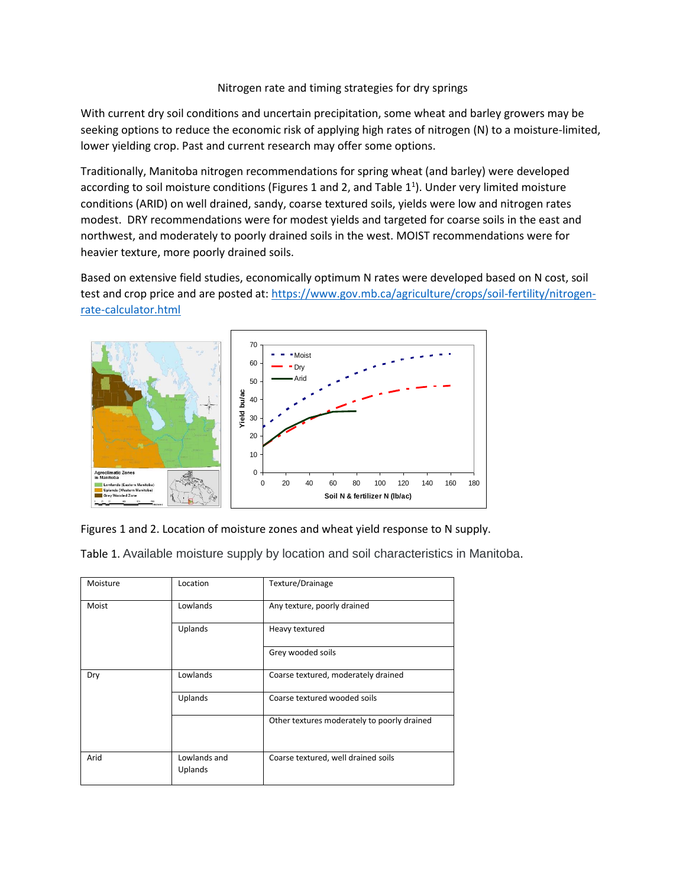## Nitrogen rate and timing strategies for dry springs

With current dry soil conditions and uncertain precipitation, some wheat and barley growers may be seeking options to reduce the economic risk of applying high rates of nitrogen (N) to a moisture-limited, lower yielding crop. Past and current research may offer some options.

Traditionally, Manitoba nitrogen recommendations for spring wheat (and barley) were developed according to soil moisture conditions (Figures 1 and 2, and Table  $1^1$ ). Under very limited moisture conditions (ARID) on well drained, sandy, coarse textured soils, yields were low and nitrogen rates modest. DRY recommendations were for modest yields and targeted for coarse soils in the east and northwest, and moderately to poorly drained soils in the west. MOIST recommendations were for heavier texture, more poorly drained soils.

Based on extensive field studies, economically optimum N rates were developed based on N cost, soil test and crop price and are posted at: [https://www.gov.mb.ca/agriculture/crops/soil-fertility/nitrogen](https://www.gov.mb.ca/agriculture/crops/soil-fertility/nitrogen-rate-calculator.html)[rate-calculator.html](https://www.gov.mb.ca/agriculture/crops/soil-fertility/nitrogen-rate-calculator.html)



Figures 1 and 2. Location of moisture zones and wheat yield response to N supply.

Table 1. Available moisture supply by location and soil characteristics in Manitoba.

| Moisture | Location                | Texture/Drainage                            |  |  |  |
|----------|-------------------------|---------------------------------------------|--|--|--|
| Moist    | Lowlands                | Any texture, poorly drained                 |  |  |  |
|          | Uplands                 | Heavy textured                              |  |  |  |
|          |                         | Grey wooded soils                           |  |  |  |
| Dry      | Lowlands                | Coarse textured, moderately drained         |  |  |  |
|          | Uplands                 | Coarse textured wooded soils                |  |  |  |
|          |                         | Other textures moderately to poorly drained |  |  |  |
| Arid     | Lowlands and<br>Uplands | Coarse textured, well drained soils         |  |  |  |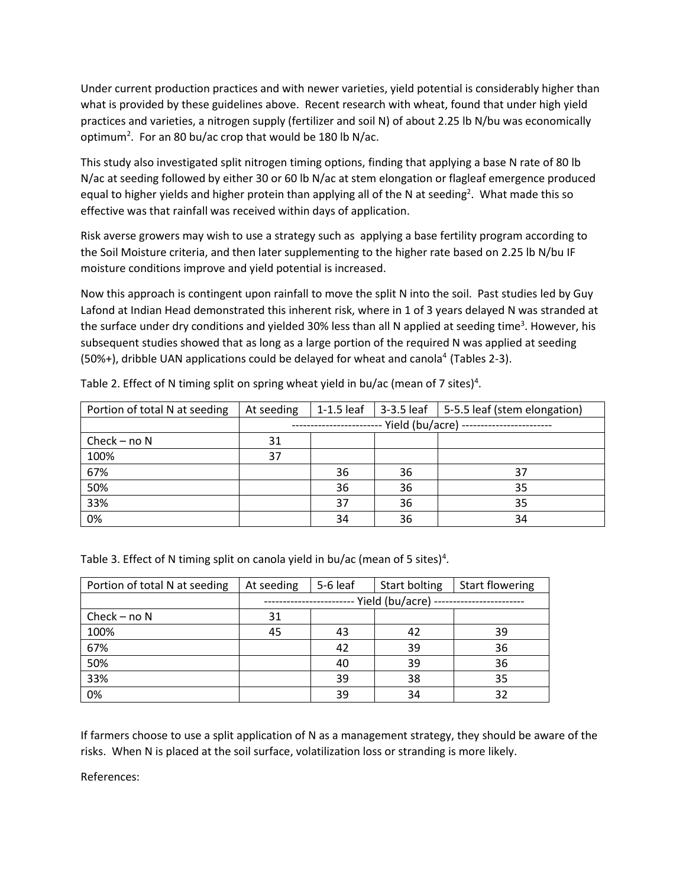Under current production practices and with newer varieties, yield potential is considerably higher than what is provided by these guidelines above. Recent research with wheat, found that under high yield practices and varieties, a nitrogen supply (fertilizer and soil N) of about 2.25 lb N/bu was economically optimum<sup>2</sup>. For an 80 bu/ac crop that would be 180 lb N/ac.

This study also investigated split nitrogen timing options, finding that applying a base N rate of 80 lb N/ac at seeding followed by either 30 or 60 lb N/ac at stem elongation or flagleaf emergence produced equal to higher yields and higher protein than applying all of the N at seeding<sup>2</sup>. What made this so effective was that rainfall was received within days of application.

Risk averse growers may wish to use a strategy such as applying a base fertility program according to the Soil Moisture criteria, and then later supplementing to the higher rate based on 2.25 lb N/bu IF moisture conditions improve and yield potential is increased.

Now this approach is contingent upon rainfall to move the split N into the soil. Past studies led by Guy Lafond at Indian Head demonstrated this inherent risk, where in 1 of 3 years delayed N was stranded at the surface under dry conditions and yielded 30% less than all N applied at seeding time<sup>3</sup>. However, his subsequent studies showed that as long as a large portion of the required N was applied at seeding (50%+), dribble UAN applications could be delayed for wheat and canola<sup>4</sup> (Tables 2-3).

| Portion of total N at seeding | At seeding                              | $1-1.5$ leaf |    | 3-3.5 leaf   5-5.5 leaf (stem elongation) |  |  |
|-------------------------------|-----------------------------------------|--------------|----|-------------------------------------------|--|--|
|                               | Yield (bu/acre)<br>-------------------- |              |    |                                           |  |  |
| Check $-$ no N                | 31                                      |              |    |                                           |  |  |
| 100%                          | 37                                      |              |    |                                           |  |  |
| 67%                           |                                         | 36           | 36 | 37                                        |  |  |
| 50%                           |                                         | 36           | 36 | 35                                        |  |  |
| 33%                           |                                         | 37           | 36 | 35                                        |  |  |
| 0%                            |                                         | 34           | 36 | 34                                        |  |  |

Table 2. Effect of N timing split on spring wheat yield in bu/ac (mean of 7 sites)<sup>4</sup>.

Table 3. Effect of N timing split on canola yield in bu/ac (mean of 5 sites)<sup>4</sup>.

| Portion of total N at seeding | At seeding      | 5-6 leaf | Start bolting | <b>Start flowering</b> |  |  |
|-------------------------------|-----------------|----------|---------------|------------------------|--|--|
|                               | Yield (bu/acre) |          |               |                        |  |  |
| Check – no $N$                | 31              |          |               |                        |  |  |
| 100%                          | 45              | 43       | 42            | 39                     |  |  |
| 67%                           |                 | 42       | 39            | 36                     |  |  |
| 50%                           |                 | 40       | 39            | 36                     |  |  |
| 33%                           |                 | 39       | 38            | 35                     |  |  |
| 0%                            |                 | 39       | 34            | 32                     |  |  |

If farmers choose to use a split application of N as a management strategy, they should be aware of the risks. When N is placed at the soil surface, volatilization loss or stranding is more likely.

References: